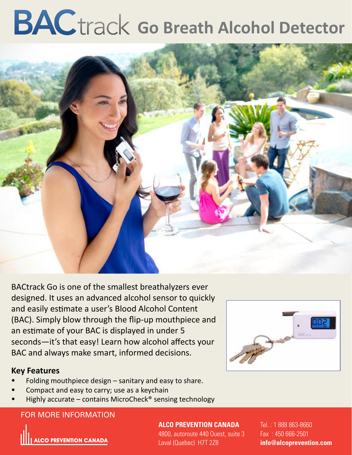# **BAC** track Go Breath Alcohol Detector



BACtrack Go is one of the smallest breathalyzers ever designed. It uses an advanced alcohol sensor to quickly and easily estimate a user's Blood Alcohol Content (BAC). Simply blow through the flip-up mouthpiece and an estimate of your BAC is displayed in under 5 seconds—it's that easy! Learn how alcohol affects your BAC and always make smart, informed decisions.

#### **Key Features**

- Folding mouthpiece design sanitary and easy to share.
- Compact and easy to carry; use as a keychain
- Highly accurate contains MicroCheck<sup>®</sup> sensing technology

#### For more information: FOR MORE INFORMATION



**ALCO PREVENTION CANADA**

4800, autoroute 440 Ouest, suite 3 Laval (Quebec) H7T 2Z8

Tel. : 1 888 863-8660 Fax : 450 666-2501 **info@alcoprevention.com**